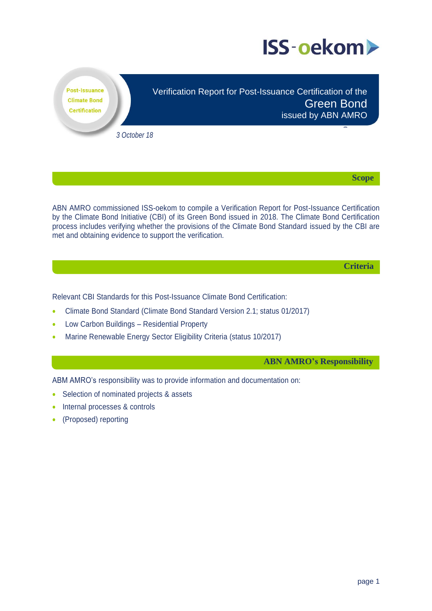

**Post-Issuance Climate Bond Certification** 

Verification Report for Post-Issuance Certification of the Green Bond issued by ABN AMRO

*3 October 18*

**Scope**

Scope

ABN AMRO commissioned ISS-oekom to compile a Verification Report for Post-Issuance Certification by the Climate Bond Initiative (CBI) of its Green Bond issued in 2018. The Climate Bond Certification process includes verifying whether the provisions of the Climate Bond Standard issued by the CBI are met and obtaining evidence to support the verification.

**Criteria**

Relevant CBI Standards for this Post-Issuance Climate Bond Certification:

- Climate Bond Standard (Climate Bond Standard Version 2.1; status 01/2017)
- Low Carbon Buildings Residential Property
- Marine Renewable Energy Sector Eligibility Criteria (status 10/2017)

**ABN AMRO's Responsibility**

ABM AMRO's responsibility was to provide information and documentation on:

- Selection of nominated projects & assets
- Internal processes & controls
- (Proposed) reporting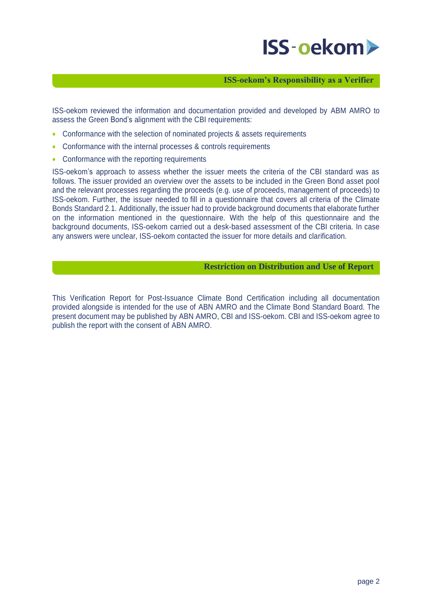# **ISS-oekom>**

## **ISS-oekom's Responsibility as a Verifier**

ISS-oekom reviewed the information and documentation provided and developed by ABM AMRO to assess the Green Bond's alignment with the CBI requirements:

- Conformance with the selection of nominated projects & assets requirements
- Conformance with the internal processes & controls requirements
- Conformance with the reporting requirements

ISS-oekom's approach to assess whether the issuer meets the criteria of the CBI standard was as follows. The issuer provided an overview over the assets to be included in the Green Bond asset pool and the relevant processes regarding the proceeds (e.g. use of proceeds, management of proceeds) to ISS-oekom. Further, the issuer needed to fill in a questionnaire that covers all criteria of the Climate Bonds Standard 2.1. Additionally, the issuer had to provide background documents that elaborate further on the information mentioned in the questionnaire. With the help of this questionnaire and the background documents, ISS-oekom carried out a desk-based assessment of the CBI criteria. In case any answers were unclear, ISS-oekom contacted the issuer for more details and clarification.

### **Restriction on Distribution and Use of Report**

This Verification Report for Post-Issuance Climate Bond Certification including all documentation provided alongside is intended for the use of ABN AMRO and the Climate Bond Standard Board. The present document may be published by ABN AMRO, CBI and ISS-oekom. CBI and ISS-oekom agree to publish the report with the consent of ABN AMRO.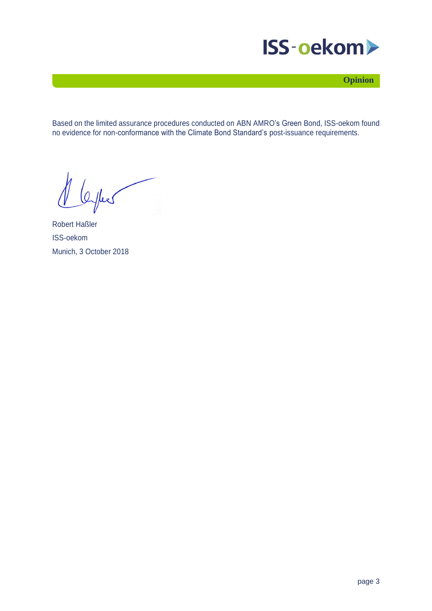

**Opinion**

Based on the limited assurance procedures conducted on ABN AMRO's Green Bond, ISS-oekom found no evidence for non-conformance with the Climate Bond Standard's post-issuance requirements.

Offers

Robert Haßler ISS-oekom Munich, 3 October 2018